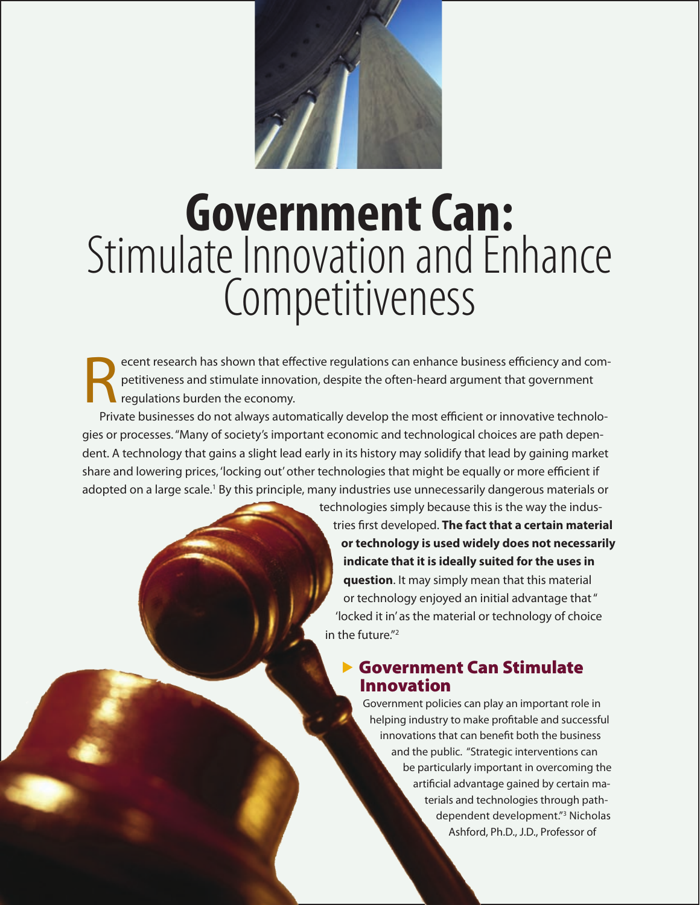

# **Government Can:** Stimulate Innovation and Enhance Competitiveness

ecent research has shown that effective regulations can enhance business efficiency and competitiveness and stimulate innovation, despite the often-heard argument that government regulations burden the economy.

Private businesses do not always automatically develop the most efficient or innovative technologies or processes. "Many of society's important economic and technological choices are path dependent. A technology that gains a slight lead early in its history may solidify that lead by gaining market share and lowering prices, 'locking out' other technologies that might be equally or more efficient if adopted on a large scale.<sup>1</sup> By this principle, many industries use unnecessarily dangerous materials or technologies simply because this is the way the indus-

tries first developed. **The fact that a certain material or technology is used widely does not necessarily indicate that it is ideally suited for the uses in question**. It may simply mean that this material or technology enjoyed an initial advantage that " 'locked it in' as the material or technology of choice in the future."2

#### ▶ Government Can Stimulate Innovation

Government policies can play an important role in helping industry to make profitable and successful innovations that can benefit both the business and the public. "Strategic interventions can be particularly important in overcoming the artificial advantage gained by certain materials and technologies through pathdependent development."3 Nicholas Ashford, Ph.D., J.D., Professor of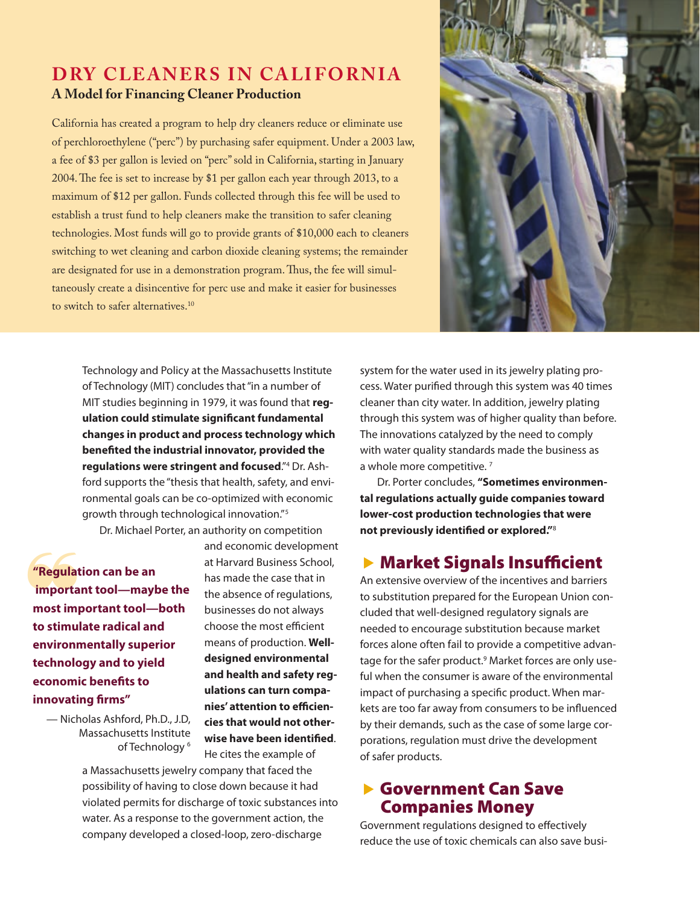#### **DRY CLEANERS IN CALIFORNIA A Model for Financing Cleaner Production**

California has created a program to help dry cleaners reduce or eliminate use of perchloroethylene ("perc") by purchasing safer equipment. Under a 2003 law, a fee of \$3 per gallon is levied on "perc" sold in California, starting in January 2004. The fee is set to increase by \$1 per gallon each year through 2013, to a maximum of \$12 per gallon. Funds collected through this fee will be used to establish a trust fund to help cleaners make the transition to safer cleaning technologies. Most funds will go to provide grants of \$10,000 each to cleaners switching to wet cleaning and carbon dioxide cleaning systems; the remainder are designated for use in a demonstration program. Thus, the fee will simultaneously create a disincentive for perc use and make it easier for businesses to switch to safer alternatives.<sup>10</sup>



Technology and Policy at the Massachusetts Institute of Technology (MIT) concludes that "in a number of MIT studies beginning in 1979, it was found that **regulation could stimulate significant fundamental changes in product and process technology which benefited the industrial innovator, provided the regulations were stringent and focused**."4 Dr. Ashford supports the "thesis that health, safety, and environmental goals can be co-optimized with economic growth through technological innovation."<sup>5</sup>

Dr. Michael Porter, an authority on competition

"Regulat<br>
importa<br>
most imp **"Regulation can be an important tool—maybe the most important tool—both to stimulate radical and environmentally superior technology and to yield economic benefits to innovating firms"** 

> — Nicholas Ashford, Ph.D., J.D, Massachusetts Institute of Technology<sup>6</sup>

and economic development at Harvard Business School, has made the case that in the absence of regulations, businesses do not always choose the most efficient means of production. **Welldesigned environmental and health and safety regulations can turn companies' attention to efficiencies that would not otherwise have been identified**. He cites the example of

a Massachusetts jewelry company that faced the possibility of having to close down because it had violated permits for discharge of toxic substances into water. As a response to the government action, the company developed a closed-loop, zero-discharge

system for the water used in its jewelry plating process. Water purified through this system was 40 times cleaner than city water. In addition, jewelry plating through this system was of higher quality than before. The innovations catalyzed by the need to comply with water quality standards made the business as a whole more competitive.<sup>7</sup>

Dr. Porter concludes, **"Sometimes environmental regulations actually guide companies toward lower-cost production technologies that were not previously identified or explored."**<sup>8</sup>

#### $\blacktriangleright$  Market Signals Insufficient

An extensive overview of the incentives and barriers to substitution prepared for the European Union concluded that well-designed regulatory signals are needed to encourage substitution because market forces alone often fail to provide a competitive advantage for the safer product.<sup>9</sup> Market forces are only useful when the consumer is aware of the environmental impact of purchasing a specific product. When markets are too far away from consumers to be influenced by their demands, such as the case of some large corporations, regulation must drive the development of safer products.

#### ▶ Government Can Save Companies Money

Government regulations designed to effectively reduce the use of toxic chemicals can also save busi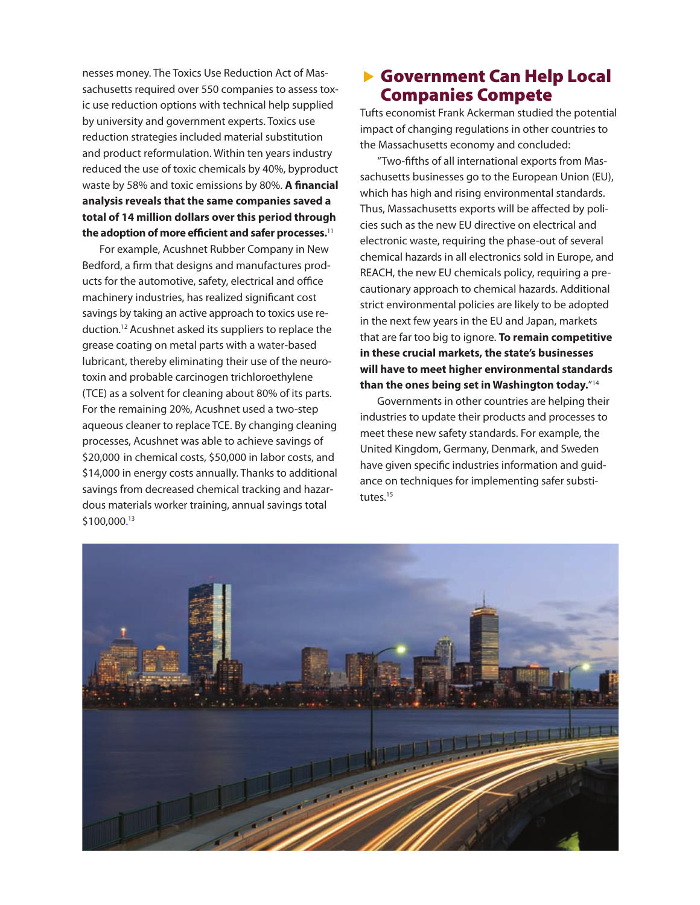nesses money. The Toxics Use Reduction Act of Massachusetts required over 550 companies to assess toxic use reduction options with technical help supplied by university and government experts. Toxics use reduction strategies included material substitution and product reformulation. Within ten years industry reduced the use of toxic chemicals by 40%, byproduct waste by 58% and toxic emissions by 80%. **A financial analysis reveals that the same companies saved a total of 14 million dollars over this period through the adoption of more efficient and safer processes.**<sup>11</sup>

For example, Acushnet Rubber Company in New Bedford, a firm that designs and manufactures products for the automotive, safety, electrical and office machinery industries, has realized significant cost savings by taking an active approach to toxics use reduction.12 Acushnet asked its suppliers to replace the grease coating on metal parts with a water-based lubricant, thereby eliminating their use of the neurotoxin and probable carcinogen trichloroethylene (TCE) as a solvent for cleaning about 80% of its parts. For the remaining 20%, Acushnet used a two-step aqueous cleaner to replace TCE. By changing cleaning processes, Acushnet was able to achieve savings of \$20,000 in chemical costs, \$50,000 in labor costs, and \$14,000 in energy costs annually. Thanks to additional savings from decreased chemical tracking and hazardous materials worker training, annual savings total  $$100,000.^13$ 

#### ▶ Government Can Help Local Companies Compete

Tufts economist Frank Ackerman studied the potential impact of changing regulations in other countries to the Massachusetts economy and concluded:

"Two-fifths of all international exports from Massachusetts businesses go to the European Union (EU), which has high and rising environmental standards. Thus, Massachusetts exports will be affected by policies such as the new EU directive on electrical and electronic waste, requiring the phase-out of several chemical hazards in all electronics sold in Europe, and REACH, the new EU chemicals policy, requiring a precautionary approach to chemical hazards. Additional strict environmental policies are likely to be adopted in the next few years in the EU and Japan, markets that are far too big to ignore. **To remain competitive in these crucial markets, the state's businesses will have to meet higher environmental standards than the ones being set in Washington today.**"14

Governments in other countries are helping their industries to update their products and processes to meet these new safety standards. For example, the United Kingdom, Germany, Denmark, and Sweden have given specific industries information and guidance on techniques for implementing safer substitutes.<sup>15</sup>

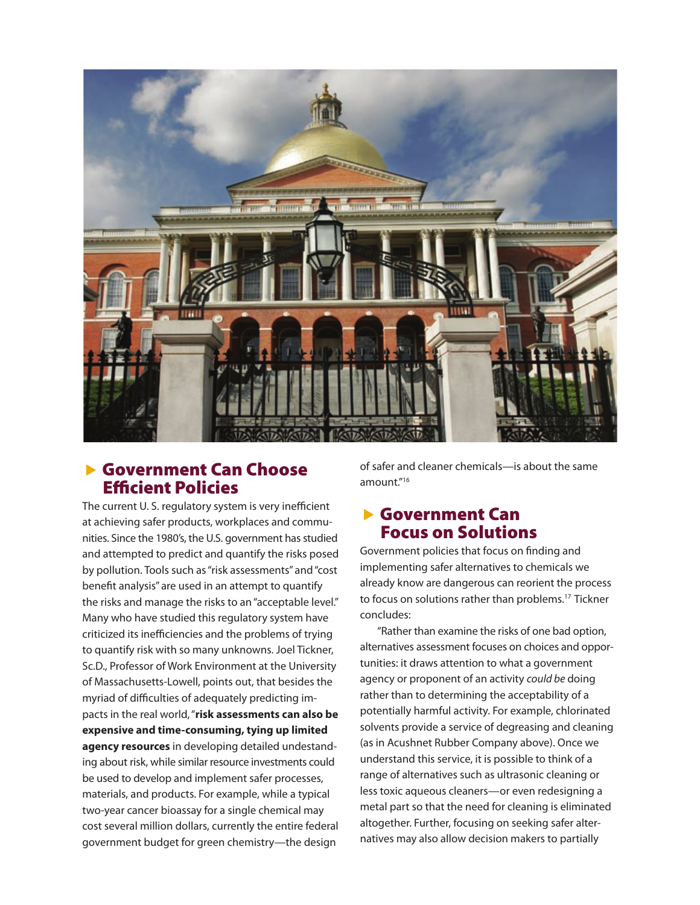

#### **Sovernment Can Choose** Efficient Policies

The current U. S. regulatory system is very inefficient at achieving safer products, workplaces and communities. Since the 1980's, the U.S. government has studied and attempted to predict and quantify the risks posed by pollution. Tools such as "risk assessments" and "cost benefit analysis" are used in an attempt to quantify the risks and manage the risks to an "acceptable level." Many who have studied this regulatory system have criticized its inefficiencies and the problems of trying to quantify risk with so many unknowns. Joel Tickner, Sc.D., Professor of Work Environment at the University of Massachusetts-Lowell, points out, that besides the myriad of difficulties of adequately predicting impacts in the real world, "**risk assessments can also be expensive and time-consuming, tying up limited agency resources** in developing detailed undestanding about risk, while similar resource investments could be used to develop and implement safer processes, materials, and products. For example, while a typical two-year cancer bioassay for a single chemical may cost several million dollars, currently the entire federal government budget for green chemistry—the design

of safer and cleaner chemicals—is about the same amount."16

#### **Sovernment Can** Focus on Solutions

Government policies that focus on finding and implementing safer alternatives to chemicals we already know are dangerous can reorient the process to focus on solutions rather than problems.<sup>17</sup> Tickner concludes:

"Rather than examine the risks of one bad option, alternatives assessment focuses on choices and opportunities: it draws attention to what a government agency or proponent of an activity *could be* doing rather than to determining the acceptability of a potentially harmful activity. For example, chlorinated solvents provide a service of degreasing and cleaning (as in Acushnet Rubber Company above). Once we understand this service, it is possible to think of a range of alternatives such as ultrasonic cleaning or less toxic aqueous cleaners—or even redesigning a metal part so that the need for cleaning is eliminated altogether. Further, focusing on seeking safer alternatives may also allow decision makers to partially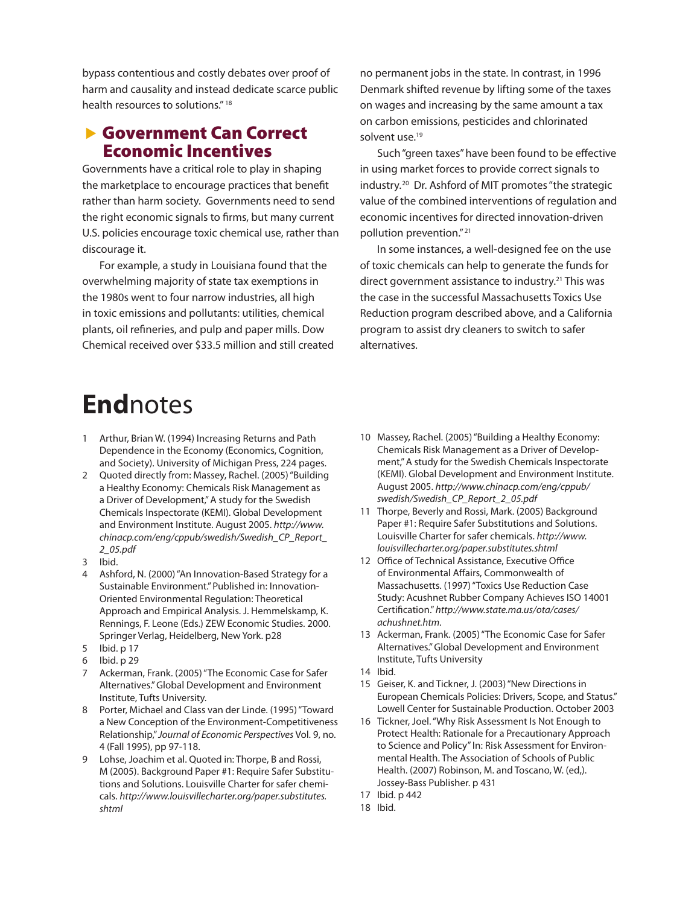bypass contentious and costly debates over proof of harm and causality and instead dedicate scarce public health resources to solutions." 18

#### ▶ Government Can Correct Economic Incentives

Governments have a critical role to play in shaping the marketplace to encourage practices that benefit rather than harm society. Governments need to send the right economic signals to firms, but many current U.S. policies encourage toxic chemical use, rather than discourage it.

For example, a study in Louisiana found that the overwhelming majority of state tax exemptions in the 1980s went to four narrow industries, all high in toxic emissions and pollutants: utilities, chemical plants, oil refineries, and pulp and paper mills. Dow Chemical received over \$33.5 million and still created no permanent jobs in the state. In contrast, in 1996 Denmark shifted revenue by lifting some of the taxes on wages and increasing by the same amount a tax on carbon emissions, pesticides and chlorinated solvent use.<sup>19</sup>

Such "green taxes" have been found to be effective in using market forces to provide correct signals to industry.<sup>20</sup> Dr. Ashford of MIT promotes "the strategic value of the combined interventions of regulation and economic incentives for directed innovation-driven pollution prevention." <sup>21</sup>

In some instances, a well-designed fee on the use of toxic chemicals can help to generate the funds for direct government assistance to industry.<sup>21</sup> This was the case in the successful Massachusetts Toxics Use Reduction program described above, and a California program to assist dry cleaners to switch to safer alternatives.

## **End**notes

- 1 Arthur, Brian W. (1994) Increasing Returns and Path Dependence in the Economy (Economics, Cognition, and Society). University of Michigan Press, 224 pages.
- 2 Quoted directly from: Massey, Rachel. (2005) "Building a Healthy Economy: Chemicals Risk Management as a Driver of Development," A study for the Swedish Chemicals Inspectorate (KEMI). Global Development and Environment Institute. August 2005. *http://www. chinacp.com/eng/cppub/swedish/Swedish\_CP\_Report\_ 2\_05.pdf*
- 3 Ibid.
- 4 Ashford, N. (2000) "An Innovation-Based Strategy for a Sustainable Environment." Published in: Innovation-Oriented Environmental Regulation: Theoretical Approach and Empirical Analysis. J. Hemmelskamp, K. Rennings, F. Leone (Eds.) ZEW Economic Studies. 2000. Springer Verlag, Heidelberg, New York. p28
- 5 Ibid. p 17
- 6 Ibid. p 29
- Ackerman, Frank. (2005) "The Economic Case for Safer Alternatives." Global Development and Environment Institute, Tufts University.
- 8 Porter, Michael and Class van der Linde. (1995) "Toward a New Conception of the Environment-Competitiveness Relationship," *Journal of Economic Perspectives* Vol. 9, no. 4 (Fall 1995), pp 97-118.
- 9 Lohse, Joachim et al. Quoted in: Thorpe, B and Rossi, M (2005). Background Paper #1: Require Safer Substitutions and Solutions. Louisville Charter for safer chemicals. *http://www.louisvillecharter.org/paper.substitutes. shtml*
- 10 Massey, Rachel. (2005) "Building a Healthy Economy: Chemicals Risk Management as a Driver of Development," A study for the Swedish Chemicals Inspectorate (KEMI). Global Development and Environment Institute. August 2005. *http://www.chinacp.com/eng/cppub/ swedish/Swedish\_CP\_Report\_2\_05.pdf*
- 11 Thorpe, Beverly and Rossi, Mark. (2005) Background Paper #1: Require Safer Substitutions and Solutions. Louisville Charter for safer chemicals. *http://www. louisvillecharter.org/paper.substitutes.shtml*
- 12 Office of Technical Assistance, Executive Office of Environmental Affairs, Commonwealth of Massachusetts. (1997) "Toxics Use Reduction Case Study: Acushnet Rubber Company Achieves ISO 14001 Certification." *http://www.state.ma.us/ota/cases/ achushnet.htm.*
- 13 Ackerman, Frank. (2005) "The Economic Case for Safer Alternatives." Global Development and Environment Institute, Tufts University
- 14 Ibid.
- 15 Geiser, K. and Tickner, J. (2003) "New Directions in European Chemicals Policies: Drivers, Scope, and Status." Lowell Center for Sustainable Production. October 2003
- 16 Tickner, Joel. "Why Risk Assessment Is Not Enough to Protect Health: Rationale for a Precautionary Approach to Science and Policy" In: Risk Assessment for Environmental Health. The Association of Schools of Public Health. (2007) Robinson, M. and Toscano, W. (ed,). Jossey-Bass Publisher. p 431
- 17 Ibid. p 442
- 18 Ibid.